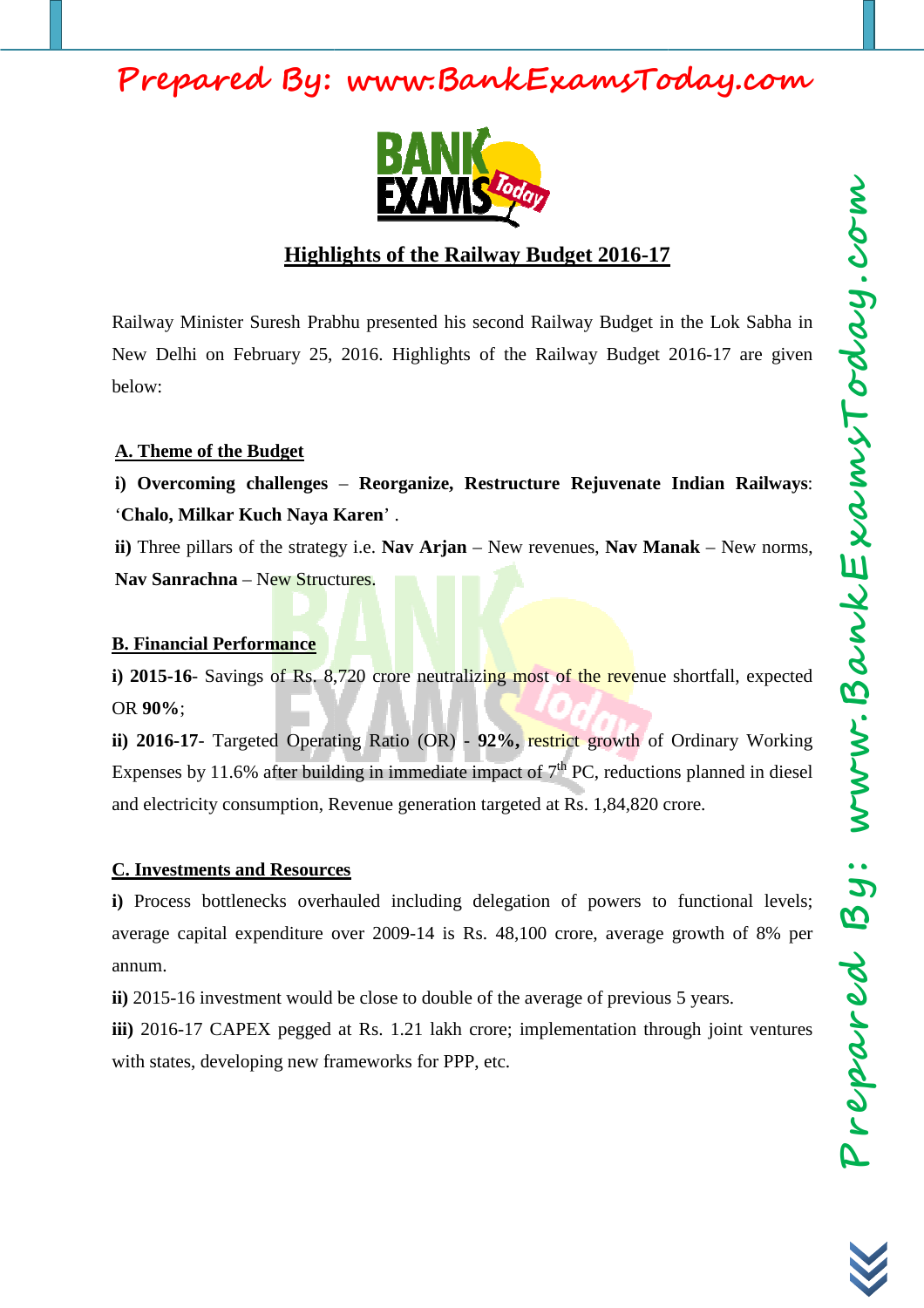

## **Highlights of the Railway Budget 2016 2016-17 17**

Railway Minister Suresh Prabhu presented his second Railway Budget in the Lok Sabha in New Delhi on February 25, 2016. Highlights of the Railway Budget 2016 2016-17 are given below:

## **A. Theme of the Budget**

**i) Overcoming challenges**  – **Reorganize, Restructure Rejuvenate Indian Railways** : '**Chalo, Milkar Kuch Naya Karen** ' .

ii) Three pillars of the strategy i.e. Nav Arjan – New revenues, Nav Manak – New norms, **Nav Sanrachna** – New Structures.

### **B. Financial Performance**

i) 2015-16- Savings of Rs. 8,720 crore neutralizing most of the revenue shortfall, expected OR **90%**;

**ii) 2016-17**- Targeted Operating Ratio (OR) - 92%, restrict growth of Ordinary Working Expenses by 11.6% after building in immediate impact of  $7<sup>th</sup>$  PC, reductions planned in diesel and electricity consumption, Revenue generation targeted at Rs. 1,84,820 crore.

#### **C. Investments and Resources**

**i**) Process bottlenecks overhauled including delegation of powers to functional levels; average capital expenditure over 2009 2009-14 is Rs. 48,100 crore, average growth of 8% per annum. average capital expenditure over 2009-14 is Rs. 48,100 crore, average growth c<br>annum.<br>**ii**) 2015-16 investment would be close to double of the average of previous 5 years.

iii) 2016-17 CAPEX pegged at Rs. 1.21 lakh crore; implementation through joint ventures with states, developing new frameworks for PPP, etc.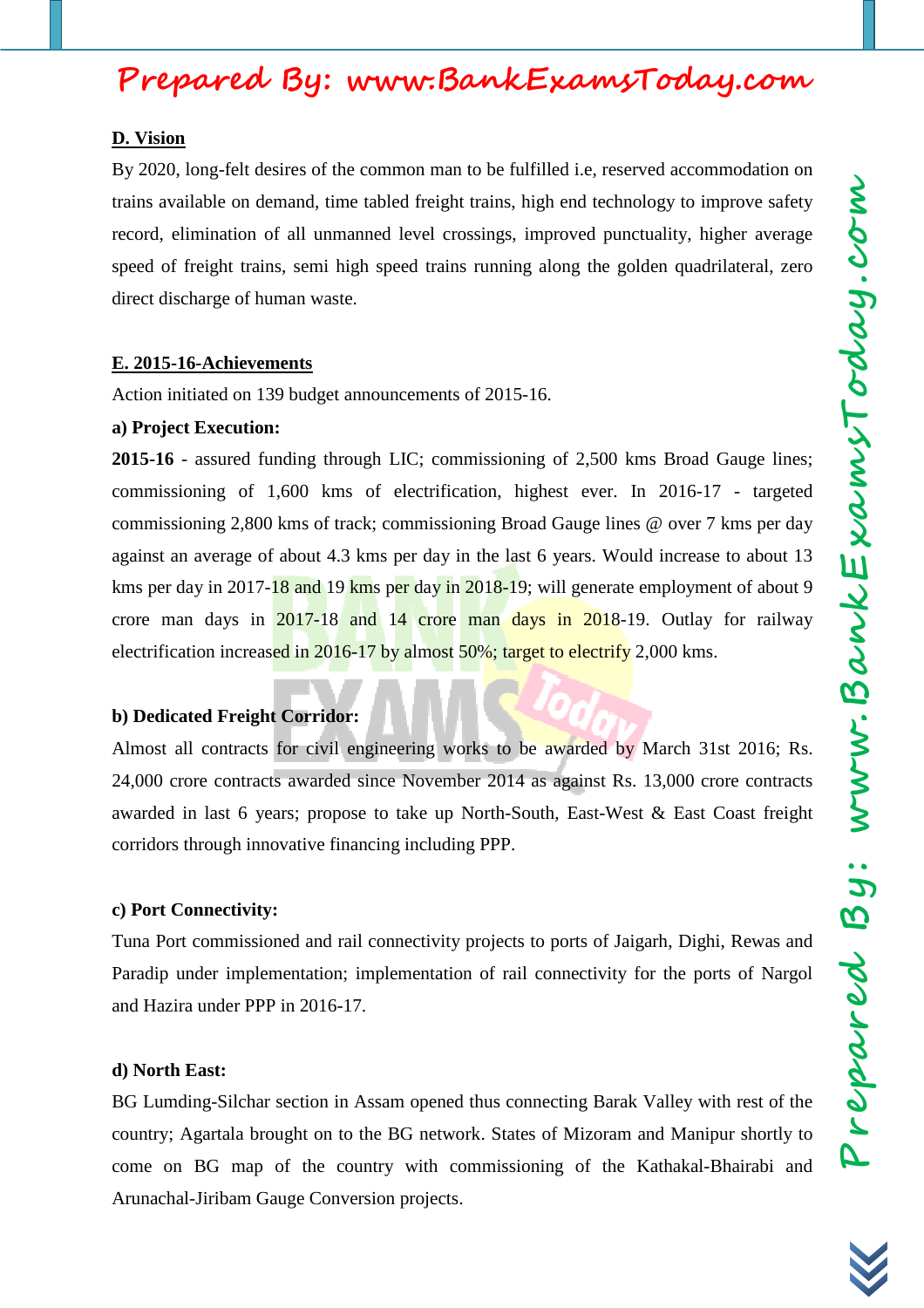#### **D. Vision**

By 2020, long-felt desires of the common man to be fulfilled i.e, reserved accommodation on trains available on demand, time tabled freight trains, high end technology to improve safety record, elimination of all unmanned level crossings, improved punctuality, higher average speed of freight trains, semi high speed trains running along the golden quadrilateral, zero direct discharge of human waste.

#### **E. 2015-16-Achievements**

Action initiated on 139 budget announcements of 2015-16.

#### **a) Project Execution:**

**2015-16** - assured funding through LIC; commissioning of 2,500 kms Broad Gauge lines; commissioning of 1,600 kms of electrification, highest ever. In 2016-17 - targeted commissioning 2,800 kms of track; commissioning Broad Gauge lines @ over 7 kms per day against an average of about 4.3 kms per day in the last 6 years. Would increase to about 13 kms per day in 2017-18 and 19 kms per day in 2018-19; will generate employment of about 9 crore man days in 2017-18 and 14 crore man days in 2018-19. Outlay for railway electrification increased in 2016-17 by almost 50%; target to electrify 2,000 kms.

#### **b) Dedicated Freight Corridor:**

Almost all contracts for civil engineering works to be awarded by March 31st 2016; Rs. 24,000 crore contracts awarded since November 2014 as against Rs. 13,000 crore contracts awarded in last 6 years; propose to take up North-South, East-West & East Coast freight corridors through innovative financing including PPP.

#### **c) Port Connectivity:**

Tuna Port commissioned and rail connectivity projects to ports of Jaigarh, Dighi, Rewas and Paradip under implementation; implementation of rail connectivity for the ports of Nargol and Hazira under PPP in 2016-17.

#### **d) North East:**

BG Lumding-Silchar section in Assam opened thus connecting Barak Valley with rest of the country; Agartala brought on to the BG network. States of Mizoram and Manipur shortly to come on BG map of the country with commissioning of the Kathakal-Bhairabi and Arunachal-Jiribam Gauge Conversion projects.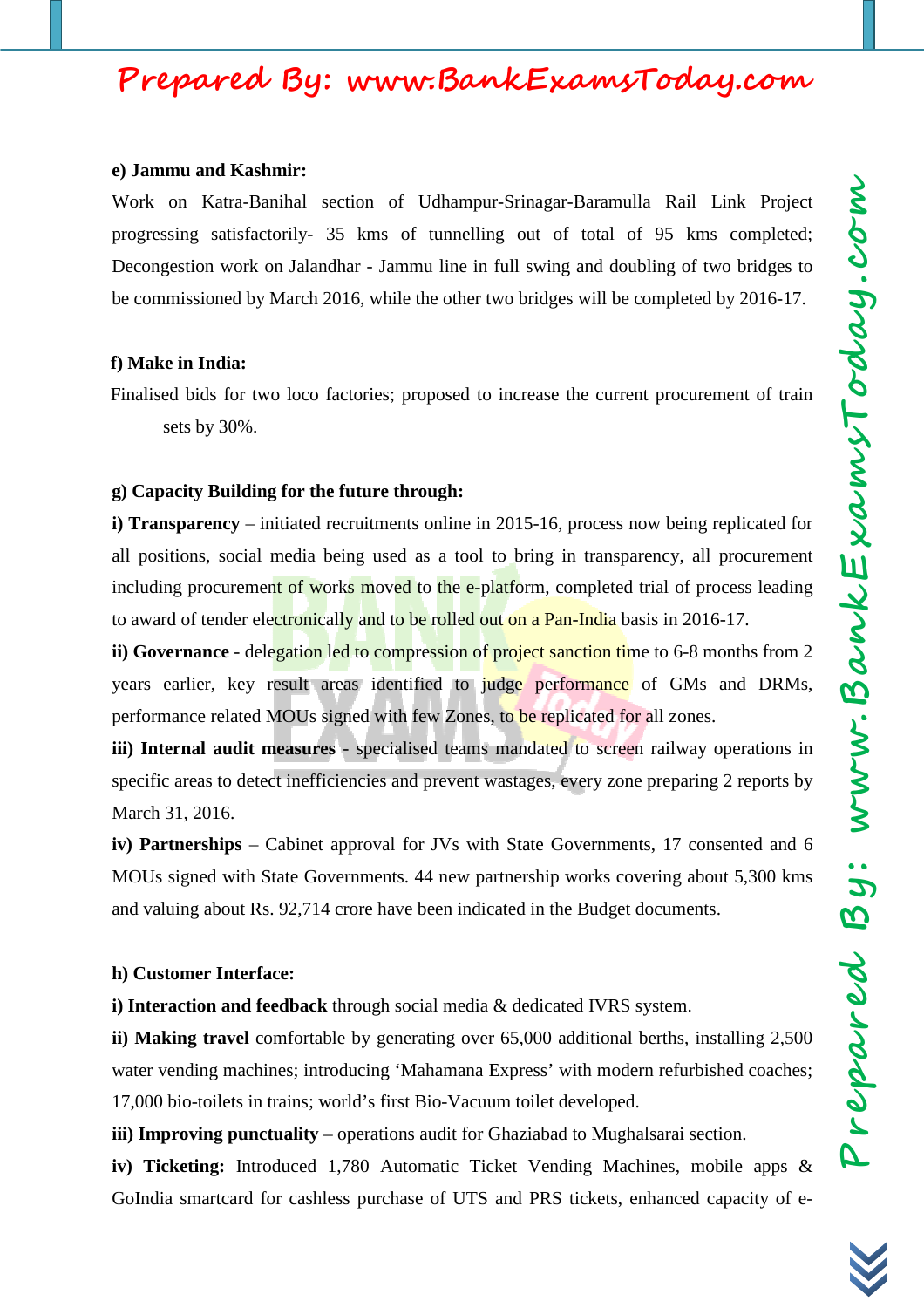# Prepared By: Www.BankExamsToday.com Prepared By: www.BankExamsToday.com

# **Prepared By: www.BankExamsToday.com**

#### **e) Jammu and Kashmir:**

Work on Katra-Banihal section of Udhampur-Srinagar-Baramulla Rail Link Project progressing satisfactorily- 35 kms of tunnelling out of total of 95 kms completed; Decongestion work on Jalandhar - Jammu line in full swing and doubling of two bridges to be commissioned by March 2016, while the other two bridges will be completed by 2016-17.

## **f) Make in India:**

Finalised bids for two loco factories; proposed to increase the current procurement of train sets by 30%.

## **g) Capacity Building for the future through:**

**i) Transparency** – initiated recruitments online in 2015-16, process now being replicated for all positions, social media being used as a tool to bring in transparency, all procurement including procurement of works moved to the e-platform, completed trial of process leading to award of tender electronically and to be rolled out on a Pan-India basis in 2016-17.

**ii) Governance** - delegation led to compression of project sanction time to 6-8 months from 2 years earlier, key result areas identified to judge performance of GMs and DRMs, performance related MOUs signed with few Zones, to be replicated for all zones.

**iii) Internal audit measures** - specialised teams mandated to screen railway operations in specific areas to detect inefficiencies and prevent wastages, every zone preparing 2 reports by March 31, 2016.

**iv) Partnerships** – Cabinet approval for JVs with State Governments, 17 consented and 6 MOUs signed with State Governments. 44 new partnership works covering about 5,300 kms and valuing about Rs. 92,714 crore have been indicated in the Budget documents.

## **h) Customer Interface:**

**i) Interaction and feedback** through social media & dedicated IVRS system.

**ii) Making travel** comfortable by generating over 65,000 additional berths, installing 2,500 water vending machines; introducing 'Mahamana Express' with modern refurbished coaches; 17,000 bio-toilets in trains; world's first Bio-Vacuum toilet developed.

**iii) Improving punctuality** – operations audit for Ghaziabad to Mughalsarai section.

**iv) Ticketing:** Introduced 1,780 Automatic Ticket Vending Machines, mobile apps & GoIndia smartcard for cashless purchase of UTS and PRS tickets, enhanced capacity of e-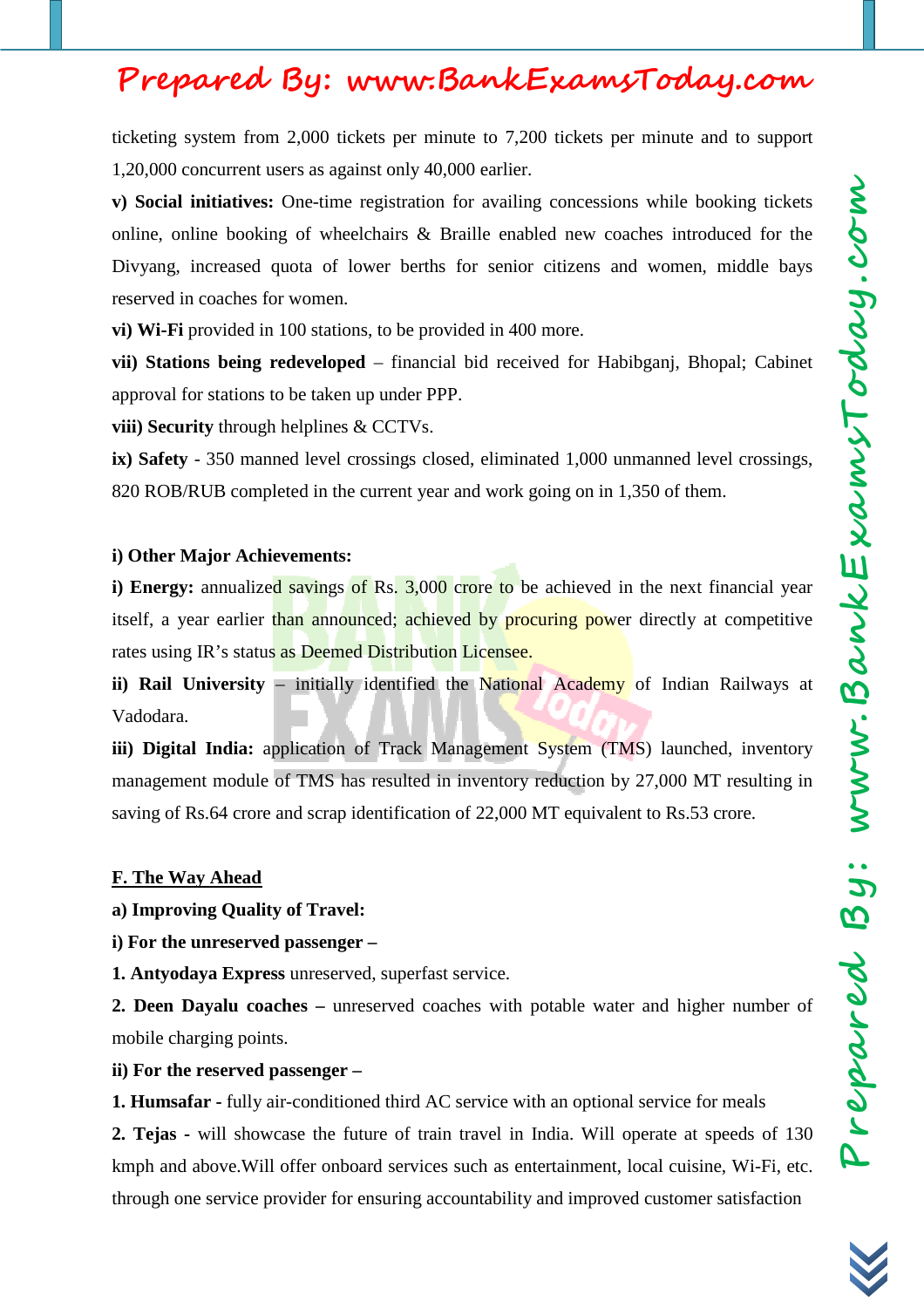ticketing system from 2,000 tickets per minute to 7,200 tickets per minute and to support 1,20,000 concurrent users as against only 40,000 earlier.

**v) Social initiatives:** One-time registration for availing concessions while booking tickets online, online booking of wheelchairs & Braille enabled new coaches introduced for the Divyang, increased quota of lower berths for senior citizens and women, middle bays reserved in coaches for women.

**vi) Wi-Fi** provided in 100 stations, to be provided in 400 more.

**vii) Stations being redeveloped** – financial bid received for Habibganj, Bhopal; Cabinet approval for stations to be taken up under PPP.

**viii) Security** through helplines & CCTVs.

**ix) Safety** - 350 manned level crossings closed, eliminated 1,000 unmanned level crossings, 820 ROB/RUB completed in the current year and work going on in 1,350 of them.

#### **i) Other Major Achievements:**

**i) Energy:** annualized savings of Rs. 3,000 crore to be achieved in the next financial year itself, a year earlier than announced; achieved by procuring power directly at competitive rates using IR's status as Deemed Distribution Licensee.

**ii) Rail University** – initially identified the National Academy of Indian Railways at Vadodara.

iii) Digital India: application of Track Management System (TMS) launched, inventory management module of TMS has resulted in inventory reduction by 27,000 MT resulting in saving of Rs.64 crore and scrap identification of 22,000 MT equivalent to Rs.53 crore.

#### **F. The Way Ahead**

**a) Improving Quality of Travel:**

**i) For the unreserved passenger –** 

**1. Antyodaya Express** unreserved, superfast service.

**2. Deen Dayalu coaches –** unreserved coaches with potable water and higher number of mobile charging points.

#### **ii) For the reserved passenger –**

**1. Humsafar -** fully air-conditioned third AC service with an optional service for meals

**2. Tejas -** will showcase the future of train travel in India. Will operate at speeds of 130 kmph and above.Will offer onboard services such as entertainment, local cuisine, Wi-Fi, etc. through one service provider for ensuring accountability and improved customer satisfaction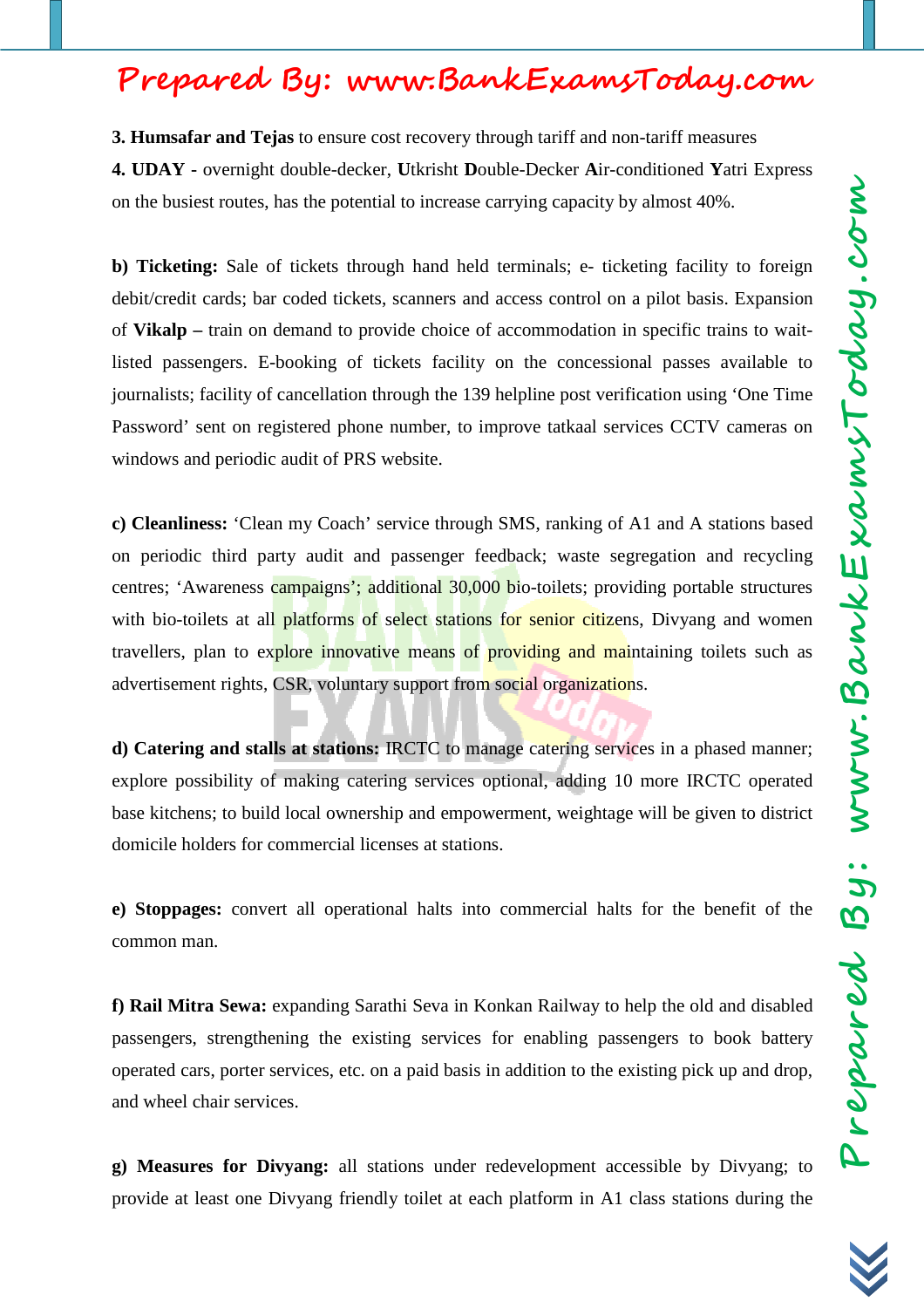**3. Humsafar and Tejas** to ensure cost recovery through tariff and non-tariff measures **4. UDAY -** overnight double-decker, **U**tkrisht **D**ouble-Decker **A**ir-conditioned **Y**atri Express on the busiest routes, has the potential to increase carrying capacity by almost 40%.

**b) Ticketing:** Sale of tickets through hand held terminals; e- ticketing facility to foreign debit/credit cards; bar coded tickets, scanners and access control on a pilot basis. Expansion of **Vikalp –** train on demand to provide choice of accommodation in specific trains to waitlisted passengers. E-booking of tickets facility on the concessional passes available to journalists; facility of cancellation through the 139 helpline post verification using 'One Time Password' sent on registered phone number, to improve tatkaal services CCTV cameras on windows and periodic audit of PRS website.

**c) Cleanliness:** 'Clean my Coach' service through SMS, ranking of A1 and A stations based on periodic third party audit and passenger feedback; waste segregation and recycling centres; 'Awareness campaigns'; additional 30,000 bio-toilets; providing portable structures with bio-toilets at all platforms of select stations for senior citizens, Divyang and women travellers, plan to explore innovative means of providing and maintaining toilets such as advertisement rights, CSR, voluntary support from social organizations.

**d) Catering and stalls at stations:** IRCTC to manage catering services in a phased manner; explore possibility of making catering services optional, adding 10 more IRCTC operated base kitchens; to build local ownership and empowerment, weightage will be given to district domicile holders for commercial licenses at stations.

**e) Stoppages:** convert all operational halts into commercial halts for the benefit of the common man.

**f) Rail Mitra Sewa:** expanding Sarathi Seva in Konkan Railway to help the old and disabled passengers, strengthening the existing services for enabling passengers to book battery operated cars, porter services, etc. on a paid basis in addition to the existing pick up and drop, and wheel chair services.

**g) Measures for Divyang:** all stations under redevelopment accessible by Divyang; to provide at least one Divyang friendly toilet at each platform in A1 class stations during the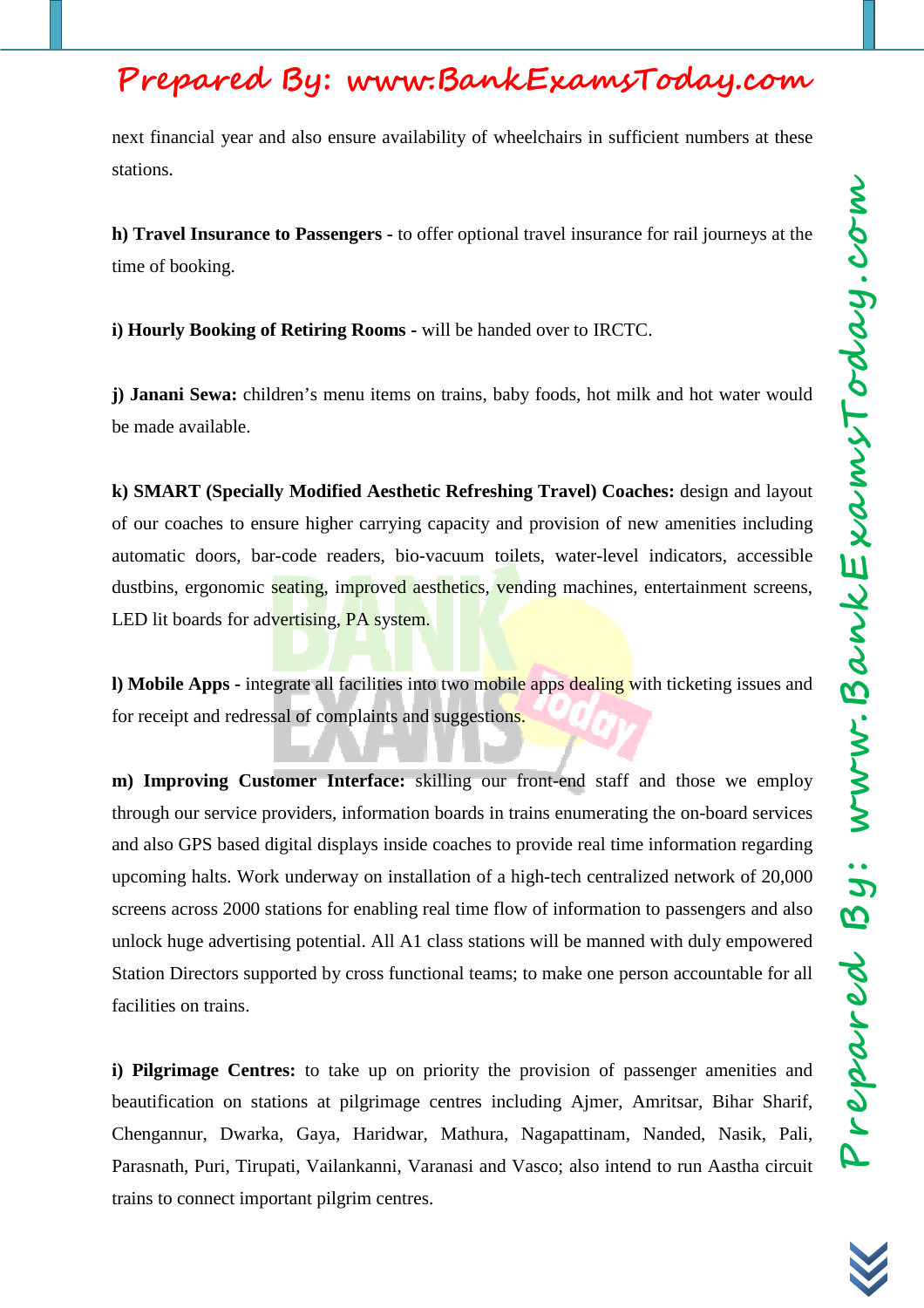next financial year and also ensure availability of wheelchairs in sufficient numbers at these stations.

**h) Travel Insurance to Passengers -** to offer optional travel insurance for rail journeys at the time of booking.

**i) Hourly Booking of Retiring Rooms -** will be handed over to IRCTC.

**j) Janani Sewa:** children's menu items on trains, baby foods, hot milk and hot water would be made available.

**k) SMART (Specially Modified Aesthetic Refreshing Travel) Coaches:** design and layout of our coaches to ensure higher carrying capacity and provision of new amenities including automatic doors, bar-code readers, bio-vacuum toilets, water-level indicators, accessible dustbins, ergonomic seating, improved aesthetics, vending machines, entertainment screens, LED lit boards for advertising, PA system.

**l) Mobile Apps -** integrate all facilities into two mobile apps dealing with ticketing issues and for receipt and redressal of complaints and suggestions.

**m) Improving Customer Interface:** skilling our front-end staff and those we employ through our service providers, information boards in trains enumerating the on-board services and also GPS based digital displays inside coaches to provide real time information regarding upcoming halts. Work underway on installation of a high-tech centralized network of 20,000 screens across 2000 stations for enabling real time flow of information to passengers and also unlock huge advertising potential. All A1 class stations will be manned with duly empowered Station Directors supported by cross functional teams; to make one person accountable for all facilities on trains.

**i) Pilgrimage Centres:** to take up on priority the provision of passenger amenities and beautification on stations at pilgrimage centres including Ajmer, Amritsar, Bihar Sharif, Chengannur, Dwarka, Gaya, Haridwar, Mathura, Nagapattinam, Nanded, Nasik, Pali, Parasnath, Puri, Tirupati, Vailankanni, Varanasi and Vasco; also intend to run Aastha circuit trains to connect important pilgrim centres.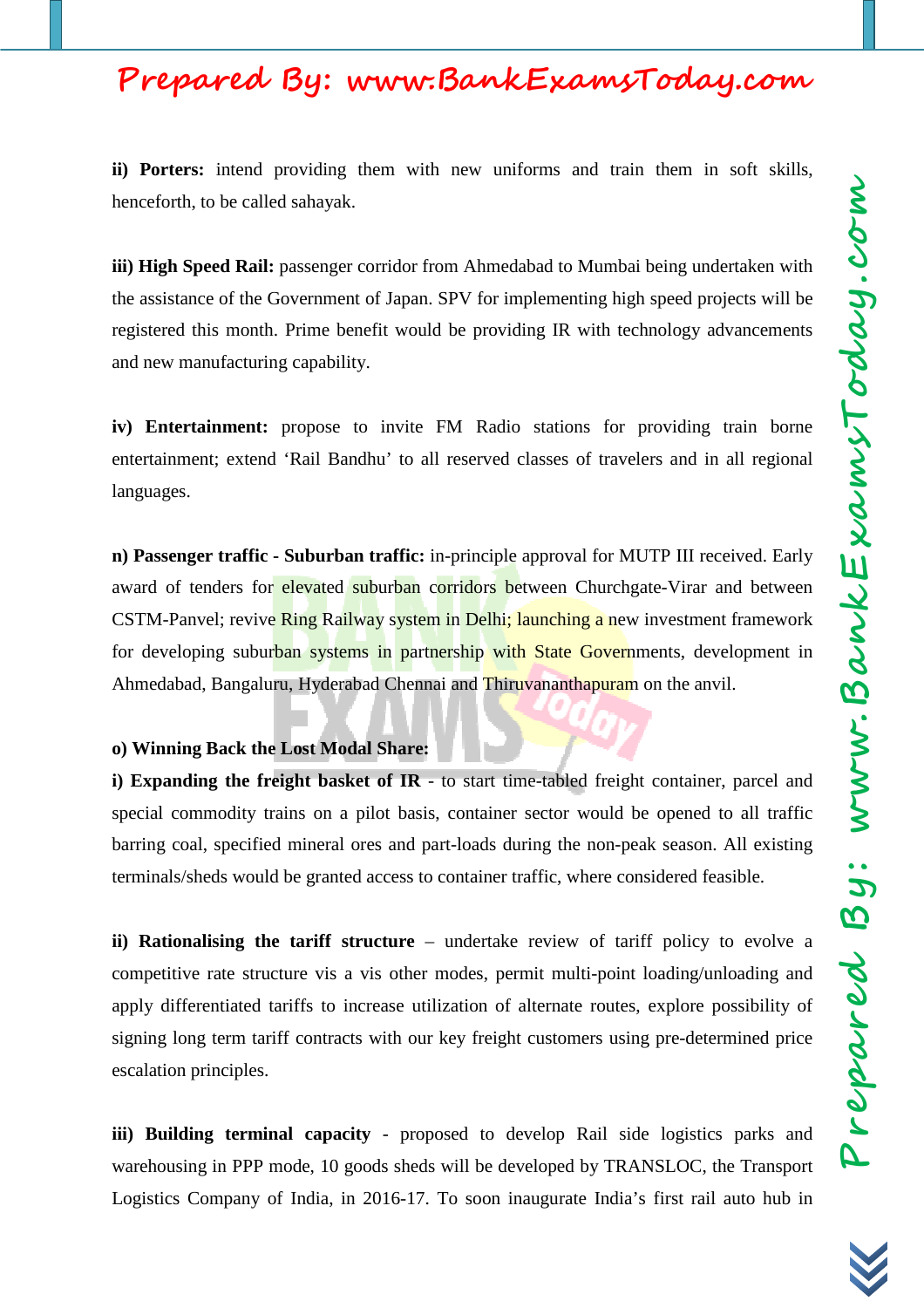**ii) Porters:** intend providing them with new uniforms and train them in soft skills, henceforth, to be called sahayak.

**iii) High Speed Rail:** passenger corridor from Ahmedabad to Mumbai being undertaken with the assistance of the Government of Japan. SPV for implementing high speed projects will be registered this month. Prime benefit would be providing IR with technology advancements and new manufacturing capability.

**iv) Entertainment:** propose to invite FM Radio stations for providing train borne entertainment; extend 'Rail Bandhu' to all reserved classes of travelers and in all regional languages.

**n) Passenger traffic - Suburban traffic:** in-principle approval for MUTP III received. Early award of tenders for elevated suburban corridors between Churchgate-Virar and between CSTM-Panvel; revive Ring Railway system in Delhi; launching a new investment framework for developing suburban systems in partnership with State Governments, development in Ahmedabad, Bangaluru, Hyderabad Chennai and Thiruvananthapuram on the anvil.

#### **o) Winning Back the Lost Modal Share:**

**i) Expanding the freight basket of IR** - to start time-tabled freight container, parcel and special commodity trains on a pilot basis, container sector would be opened to all traffic barring coal, specified mineral ores and part-loads during the non-peak season. All existing terminals/sheds would be granted access to container traffic, where considered feasible.

**ii) Rationalising the tariff structure** – undertake review of tariff policy to evolve a competitive rate structure vis a vis other modes, permit multi-point loading/unloading and apply differentiated tariffs to increase utilization of alternate routes, explore possibility of signing long term tariff contracts with our key freight customers using pre-determined price escalation principles.

**iii) Building terminal capacity** - proposed to develop Rail side logistics parks and warehousing in PPP mode, 10 goods sheds will be developed by TRANSLOC, the Transport Logistics Company of India, in 2016-17. To soon inaugurate India's first rail auto hub in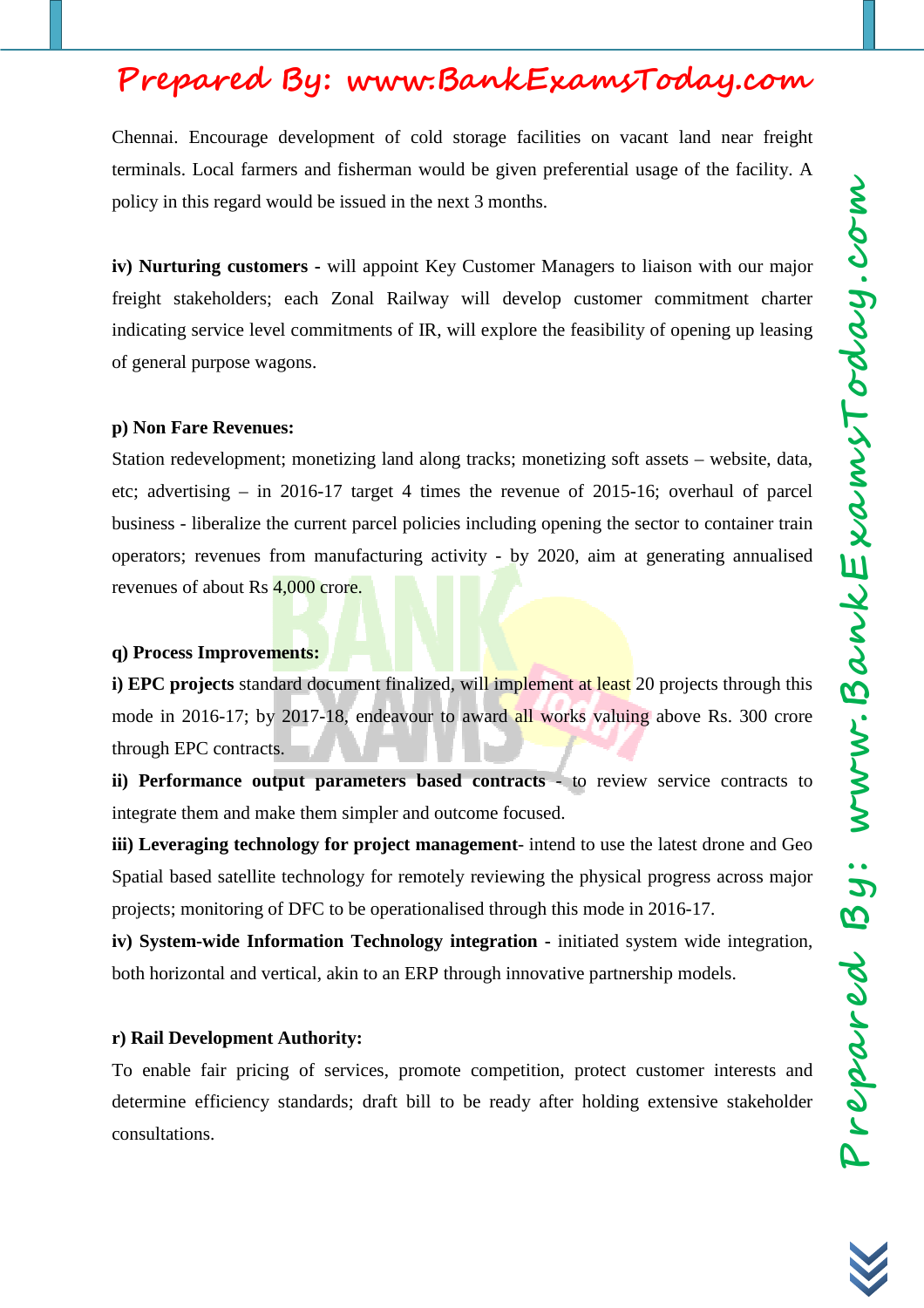Chennai. Encourage development of cold storage facilities on vacant land near freight terminals. Local farmers and fisherman would be given preferential usage of the facility. A policy in this regard would be issued in the next 3 months.

**iv) Nurturing customers -** will appoint Key Customer Managers to liaison with our major freight stakeholders; each Zonal Railway will develop customer commitment charter indicating service level commitments of IR, will explore the feasibility of opening up leasing of general purpose wagons.

#### **p) Non Fare Revenues:**

Station redevelopment; monetizing land along tracks; monetizing soft assets – website, data, etc; advertising – in 2016-17 target 4 times the revenue of 2015-16; overhaul of parcel business - liberalize the current parcel policies including opening the sector to container train operators; revenues from manufacturing activity - by 2020, aim at generating annualised revenues of about Rs 4,000 crore.

#### **q) Process Improvements:**

**i) EPC projects** standard document finalized, will implement at least 20 projects through this mode in 2016-17; by 2017-18, endeavour to award all works valuing above Rs. 300 crore through EPC contracts.

**ii) Performance output parameters based contracts** - to review service contracts to integrate them and make them simpler and outcome focused.

**iii) Leveraging technology for project management**- intend to use the latest drone and Geo Spatial based satellite technology for remotely reviewing the physical progress across major projects; monitoring of DFC to be operationalised through this mode in 2016-17.

**iv) System-wide Information Technology integration -** initiated system wide integration, both horizontal and vertical, akin to an ERP through innovative partnership models.

#### **r) Rail Development Authority:**

To enable fair pricing of services, promote competition, protect customer interests and determine efficiency standards; draft bill to be ready after holding extensive stakeholder consultations.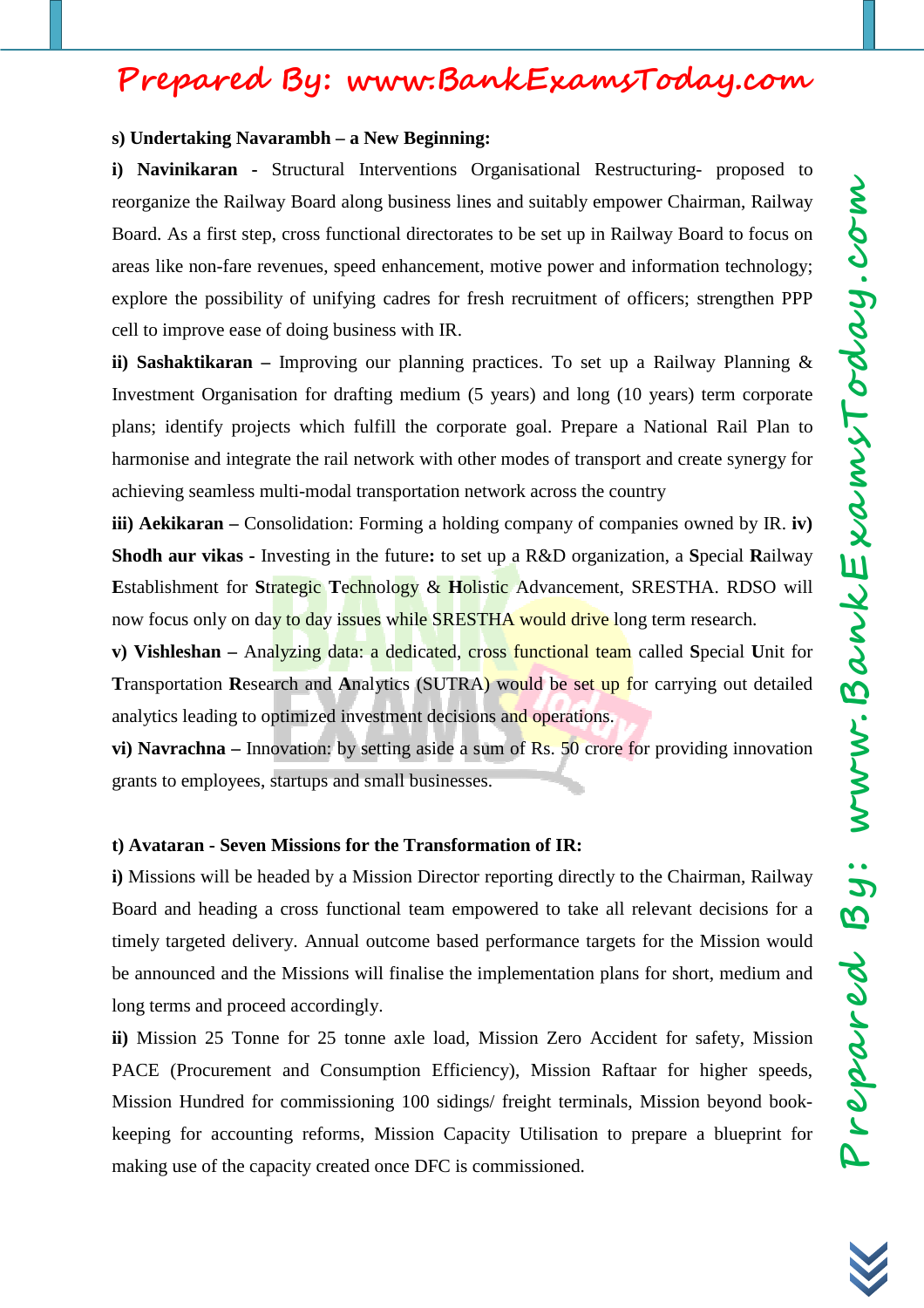#### **s) Undertaking Navarambh – a New Beginning:**

**i) Navinikaran -** Structural Interventions Organisational Restructuring- proposed to reorganize the Railway Board along business lines and suitably empower Chairman, Railway Board. As a first step, cross functional directorates to be set up in Railway Board to focus on areas like non-fare revenues, speed enhancement, motive power and information technology; explore the possibility of unifying cadres for fresh recruitment of officers; strengthen PPP cell to improve ease of doing business with IR.

**ii) Sashaktikaran –** Improving our planning practices. To set up a Railway Planning & Investment Organisation for drafting medium (5 years) and long (10 years) term corporate plans; identify projects which fulfill the corporate goal. Prepare a National Rail Plan to harmonise and integrate the rail network with other modes of transport and create synergy for achieving seamless multi-modal transportation network across the country

**iii) Aekikaran** – Consolidation: Forming a holding company of companies owned by IR. **iv**) **Shodh aur vikas -** Investing in the future**:** to set up a R&D organization, a **S**pecial **R**ailway **E**stablishment for **S**trategic **T**echnology & **H**olistic Advancement, SRESTHA. RDSO will now focus only on day to day issues while SRESTHA would drive long term research.

**v) Vishleshan –** Analyzing data: a dedicated, cross functional team called **S**pecial **U**nit for **T**ransportation **R**esearch and **A**nalytics (SUTRA) would be set up for carrying out detailed analytics leading to optimized investment decisions and operations.

**vi) Navrachna** – Innovation: by setting aside a sum of Rs. 50 crore for providing innovation grants to employees, startups and small businesses.

#### **t) Avataran - Seven Missions for the Transformation of IR:**

**i)** Missions will be headed by a Mission Director reporting directly to the Chairman, Railway Board and heading a cross functional team empowered to take all relevant decisions for a timely targeted delivery. Annual outcome based performance targets for the Mission would be announced and the Missions will finalise the implementation plans for short, medium and long terms and proceed accordingly.

**ii)** Mission 25 Tonne for 25 tonne axle load, Mission Zero Accident for safety, Mission PACE (Procurement and Consumption Efficiency), Mission Raftaar for higher speeds, Mission Hundred for commissioning 100 sidings/ freight terminals, Mission beyond bookkeeping for accounting reforms, Mission Capacity Utilisation to prepare a blueprint for making use of the capacity created once DFC is commissioned.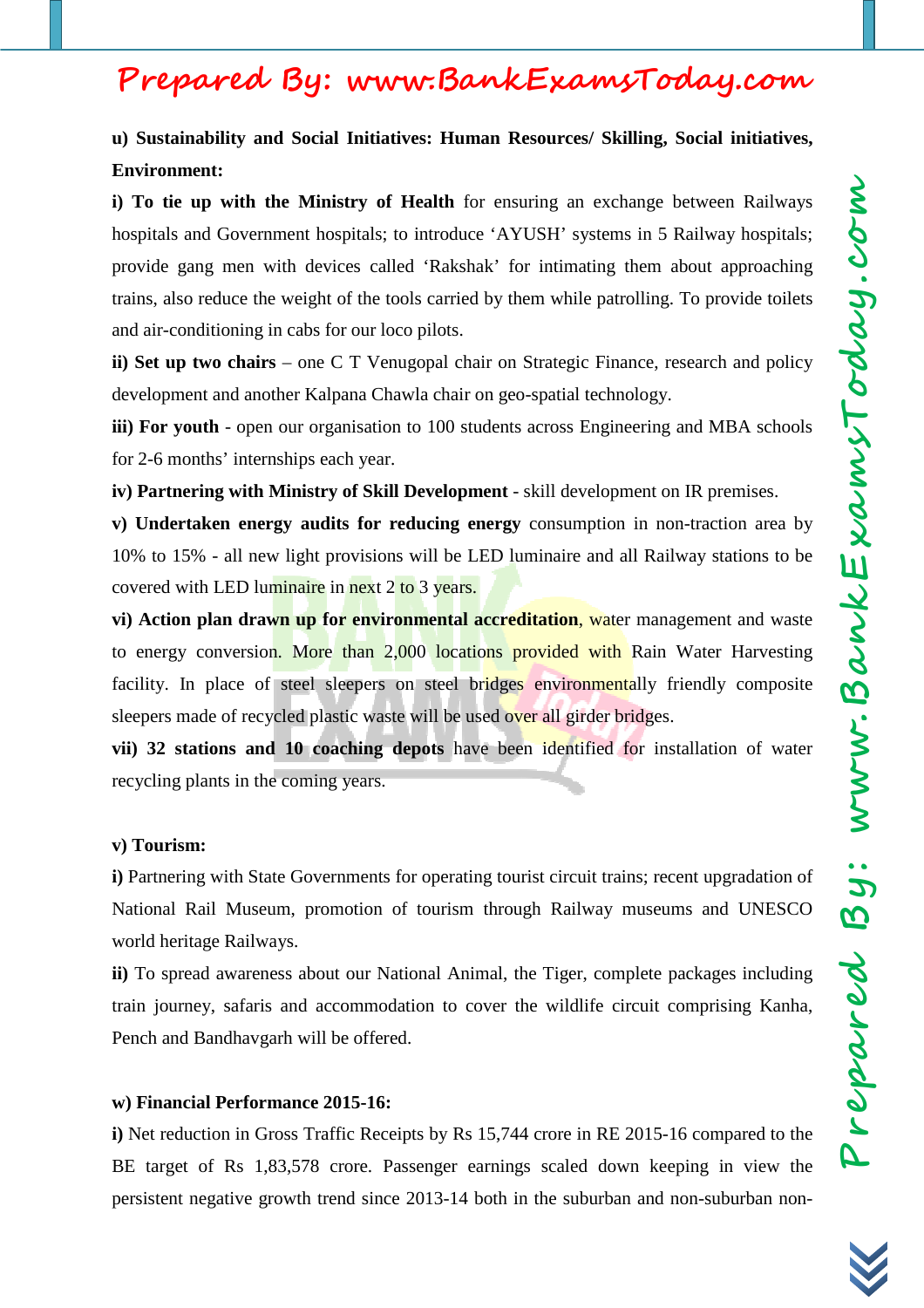**u) Sustainability and Social Initiatives: Human Resources/ Skilling, Social initiatives, Environment:**

**i) To tie up with the Ministry of Health** for ensuring an exchange between Railways hospitals and Government hospitals; to introduce 'AYUSH' systems in 5 Railway hospitals; provide gang men with devices called 'Rakshak' for intimating them about approaching trains, also reduce the weight of the tools carried by them while patrolling. To provide toilets and air-conditioning in cabs for our loco pilots.

**ii) Set up two chairs** – one C T Venugopal chair on Strategic Finance, research and policy development and another Kalpana Chawla chair on geo-spatial technology.

**iii) For youth** - open our organisation to 100 students across Engineering and MBA schools for 2-6 months' internships each year.

**iv) Partnering with Ministry of Skill Development** - skill development on IR premises.

**v) Undertaken energy audits for reducing energy** consumption in non-traction area by 10% to 15% - all new light provisions will be LED luminaire and all Railway stations to be covered with LED luminaire in next 2 to 3 years.

**vi) Action plan drawn up for environmental accreditation**, water management and waste to energy conversion. More than 2,000 locations provided with Rain Water Harvesting facility. In place of steel sleepers on steel bridges environmentally friendly composite sleepers made of recycled plastic waste will be used over all girder bridges.

**vii) 32 stations and 10 coaching depots** have been identified for installation of water recycling plants in the coming years.

#### **v) Tourism:**

**i)** Partnering with State Governments for operating tourist circuit trains; recent upgradation of National Rail Museum, promotion of tourism through Railway museums and UNESCO world heritage Railways.

**ii)** To spread awareness about our National Animal, the Tiger, complete packages including train journey, safaris and accommodation to cover the wildlife circuit comprising Kanha, Pench and Bandhavgarh will be offered.

#### **w) Financial Performance 2015-16:**

**i)** Net reduction in Gross Traffic Receipts by Rs 15,744 crore in RE 2015-16 compared to the BE target of Rs 1,83,578 crore. Passenger earnings scaled down keeping in view the persistent negative growth trend since 2013-14 both in the suburban and non-suburban non-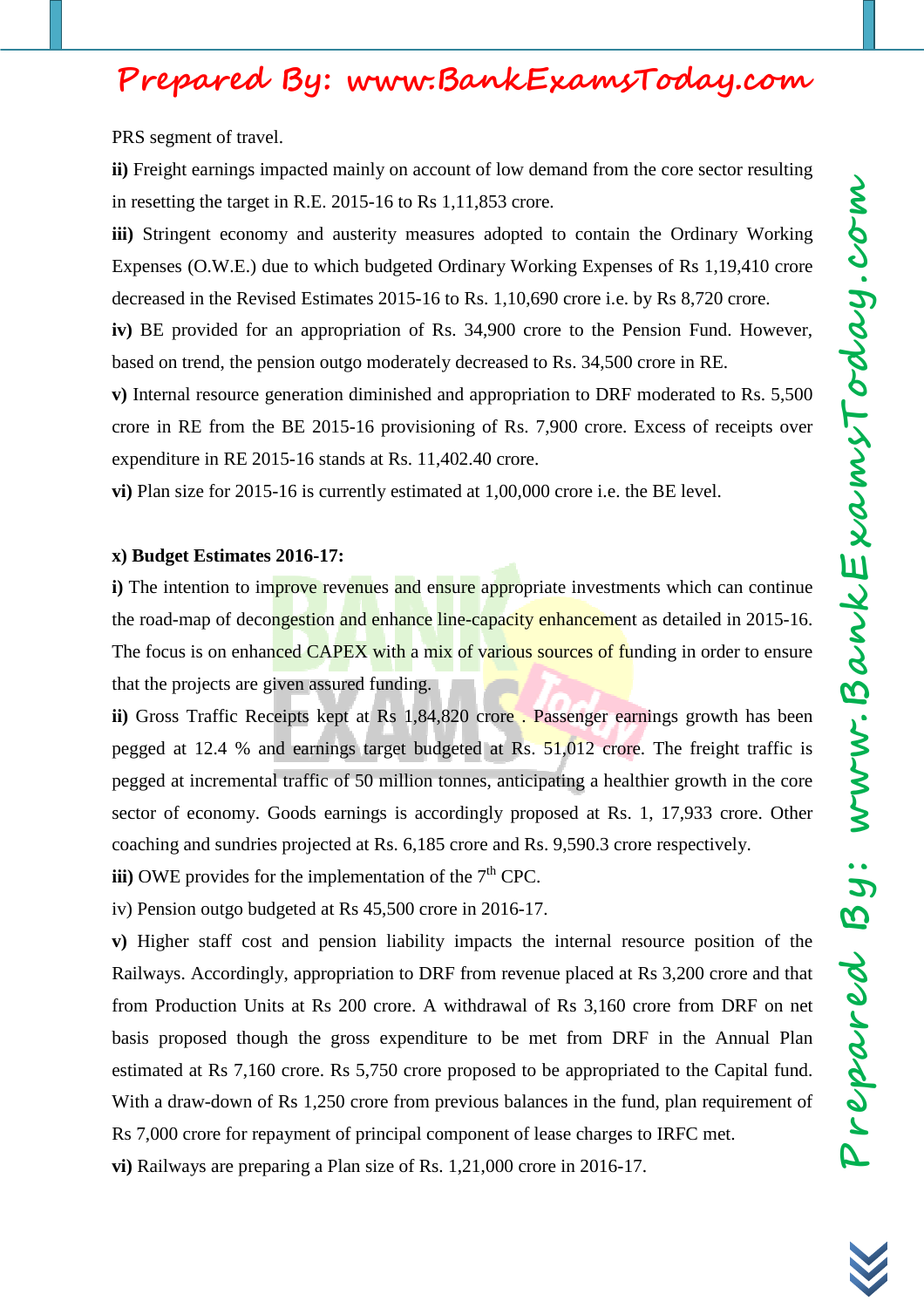PRS segment of travel.

**ii)** Freight earnings impacted mainly on account of low demand from the core sector resulting in resetting the target in R.E. 2015-16 to Rs 1,11,853 crore.

**iii)** Stringent economy and austerity measures adopted to contain the Ordinary Working Expenses (O.W.E.) due to which budgeted Ordinary Working Expenses of Rs 1,19,410 crore decreased in the Revised Estimates 2015-16 to Rs. 1,10,690 crore i.e. by Rs 8,720 crore.

**iv)** BE provided for an appropriation of Rs. 34,900 crore to the Pension Fund. However, based on trend, the pension outgo moderately decreased to Rs. 34,500 crore in RE.

**v)** Internal resource generation diminished and appropriation to DRF moderated to Rs. 5,500 crore in RE from the BE 2015-16 provisioning of Rs. 7,900 crore. Excess of receipts over expenditure in RE 2015-16 stands at Rs. 11,402.40 crore.

**vi)** Plan size for 2015-16 is currently estimated at 1,00,000 crore i.e. the BE level.

#### **x) Budget Estimates 2016-17:**

**i**) The intention to improve revenues and ensure appropriate investments which can continue the road-map of decongestion and enhance line-capacity enhancement as detailed in 2015-16. The focus is on enhanced CAPEX with a mix of various sources of funding in order to ensure that the projects are given assured funding.

**ii)** Gross Traffic Receipts kept at Rs 1,84,820 crore . Passenger earnings growth has been pegged at 12.4 % and earnings target budgeted at Rs. 51,012 crore. The freight traffic is pegged at incremental traffic of 50 million tonnes, anticipating a healthier growth in the core sector of economy. Goods earnings is accordingly proposed at Rs. 1, 17,933 crore. Other coaching and sundries projected at Rs. 6,185 crore and Rs. 9,590.3 crore respectively.

**iii**) OWE provides for the implementation of the  $7<sup>th</sup>$  CPC.

iv) Pension outgo budgeted at Rs 45,500 crore in 2016-17.

**v)** Higher staff cost and pension liability impacts the internal resource position of the Railways. Accordingly, appropriation to DRF from revenue placed at Rs 3,200 crore and that from Production Units at Rs 200 crore. A withdrawal of Rs 3,160 crore from DRF on net basis proposed though the gross expenditure to be met from DRF in the Annual Plan estimated at Rs 7,160 crore. Rs 5,750 crore proposed to be appropriated to the Capital fund. With a draw-down of Rs 1,250 crore from previous balances in the fund, plan requirement of Rs 7,000 crore for repayment of principal component of lease charges to IRFC met.

**vi)** Railways are preparing a Plan size of Rs. 1,21,000 crore in 2016-17.